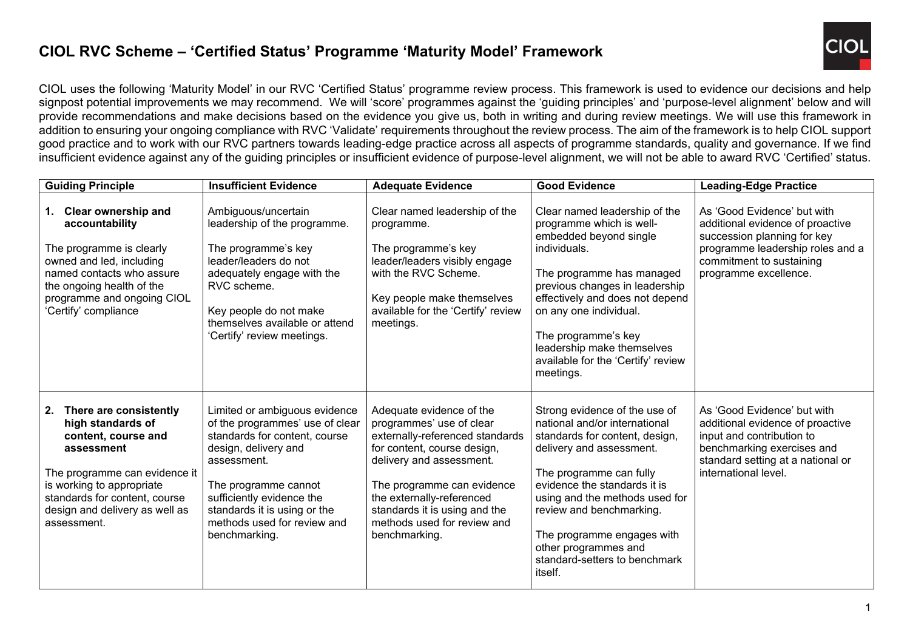## **CIOL RVC Scheme – 'Certified Status' Programme 'Maturity Model' Framework**



CIOL uses the following 'Maturity Model' in our RVC 'Certified Status' programme review process. This framework is used to evidence our decisions and help signpost potential improvements we may recommend. We will 'score' programmes against the 'guiding principles' and 'purpose-level alignment' below and will provide recommendations and make decisions based on the evidence you give us, both in writing and during review meetings. We will use this framework in addition to ensuring your ongoing compliance with RVC 'Validate' requirements throughout the review process. The aim of the framework is to help CIOL support good practice and to work with our RVC partners towards leading-edge practice across all aspects of programme standards, quality and governance. If we find insufficient evidence against any of the guiding principles or insufficient evidence of purpose-level alignment, we will not be able to award RVC 'Certified' status.

| <b>Guiding Principle</b>                                                                                                                                                                                                               | <b>Insufficient Evidence</b>                                                                                                                                                                                                                                                  | <b>Adequate Evidence</b>                                                                                                                                                                                                                                                                       | <b>Good Evidence</b>                                                                                                                                                                                                                                                                                                                                    | <b>Leading-Edge Practice</b>                                                                                                                                                            |
|----------------------------------------------------------------------------------------------------------------------------------------------------------------------------------------------------------------------------------------|-------------------------------------------------------------------------------------------------------------------------------------------------------------------------------------------------------------------------------------------------------------------------------|------------------------------------------------------------------------------------------------------------------------------------------------------------------------------------------------------------------------------------------------------------------------------------------------|---------------------------------------------------------------------------------------------------------------------------------------------------------------------------------------------------------------------------------------------------------------------------------------------------------------------------------------------------------|-----------------------------------------------------------------------------------------------------------------------------------------------------------------------------------------|
| <b>Clear ownership and</b><br>1.<br>accountability<br>The programme is clearly<br>owned and led, including<br>named contacts who assure<br>the ongoing health of the<br>programme and ongoing CIOL<br>'Certify' compliance             | Ambiguous/uncertain<br>leadership of the programme.<br>The programme's key<br>leader/leaders do not<br>adequately engage with the<br>RVC scheme.<br>Key people do not make<br>themselves available or attend<br>'Certify' review meetings.                                    | Clear named leadership of the<br>programme.<br>The programme's key<br>leader/leaders visibly engage<br>with the RVC Scheme.<br>Key people make themselves<br>available for the 'Certify' review<br>meetings.                                                                                   | Clear named leadership of the<br>programme which is well-<br>embedded beyond single<br>individuals.<br>The programme has managed<br>previous changes in leadership<br>effectively and does not depend<br>on any one individual.<br>The programme's key<br>leadership make themselves<br>available for the 'Certify' review<br>meetings.                 | As 'Good Evidence' but with<br>additional evidence of proactive<br>succession planning for key<br>programme leadership roles and a<br>commitment to sustaining<br>programme excellence. |
| There are consistently<br>2.<br>high standards of<br>content, course and<br>assessment<br>The programme can evidence it<br>is working to appropriate<br>standards for content, course<br>design and delivery as well as<br>assessment. | Limited or ambiguous evidence<br>of the programmes' use of clear<br>standards for content, course<br>design, delivery and<br>assessment.<br>The programme cannot<br>sufficiently evidence the<br>standards it is using or the<br>methods used for review and<br>benchmarking. | Adequate evidence of the<br>programmes' use of clear<br>externally-referenced standards<br>for content, course design,<br>delivery and assessment.<br>The programme can evidence<br>the externally-referenced<br>standards it is using and the<br>methods used for review and<br>benchmarking. | Strong evidence of the use of<br>national and/or international<br>standards for content, design,<br>delivery and assessment.<br>The programme can fully<br>evidence the standards it is<br>using and the methods used for<br>review and benchmarking.<br>The programme engages with<br>other programmes and<br>standard-setters to benchmark<br>itself. | As 'Good Evidence' but with<br>additional evidence of proactive<br>input and contribution to<br>benchmarking exercises and<br>standard setting at a national or<br>international level. |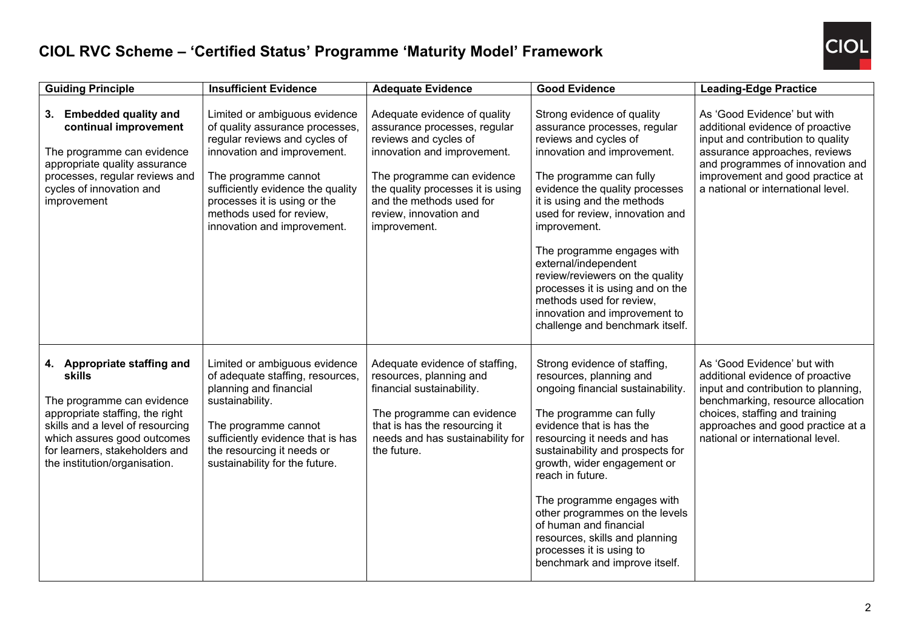

## **CIOL RVC Scheme – 'Certified Status' Programme 'Maturity Model' Framework**

| <b>Guiding Principle</b>                                                                                                                                                                                                                            | <b>Insufficient Evidence</b>                                                                                                                                                                                                                                                             | <b>Adequate Evidence</b>                                                                                                                                                                                                                                      | <b>Good Evidence</b>                                                                                                                                                                                                                                                                                                                                                                                                                                                                           | <b>Leading-Edge Practice</b>                                                                                                                                                                                                                           |
|-----------------------------------------------------------------------------------------------------------------------------------------------------------------------------------------------------------------------------------------------------|------------------------------------------------------------------------------------------------------------------------------------------------------------------------------------------------------------------------------------------------------------------------------------------|---------------------------------------------------------------------------------------------------------------------------------------------------------------------------------------------------------------------------------------------------------------|------------------------------------------------------------------------------------------------------------------------------------------------------------------------------------------------------------------------------------------------------------------------------------------------------------------------------------------------------------------------------------------------------------------------------------------------------------------------------------------------|--------------------------------------------------------------------------------------------------------------------------------------------------------------------------------------------------------------------------------------------------------|
| <b>Embedded quality and</b><br>3.<br>continual improvement<br>The programme can evidence<br>appropriate quality assurance<br>processes, regular reviews and<br>cycles of innovation and<br>improvement                                              | Limited or ambiguous evidence<br>of quality assurance processes,<br>regular reviews and cycles of<br>innovation and improvement.<br>The programme cannot<br>sufficiently evidence the quality<br>processes it is using or the<br>methods used for review,<br>innovation and improvement. | Adequate evidence of quality<br>assurance processes, regular<br>reviews and cycles of<br>innovation and improvement.<br>The programme can evidence<br>the quality processes it is using<br>and the methods used for<br>review, innovation and<br>improvement. | Strong evidence of quality<br>assurance processes, regular<br>reviews and cycles of<br>innovation and improvement.<br>The programme can fully<br>evidence the quality processes<br>it is using and the methods<br>used for review, innovation and<br>improvement.<br>The programme engages with<br>external/independent<br>review/reviewers on the quality<br>processes it is using and on the<br>methods used for review.<br>innovation and improvement to<br>challenge and benchmark itself. | As 'Good Evidence' but with<br>additional evidence of proactive<br>input and contribution to quality<br>assurance approaches, reviews<br>and programmes of innovation and<br>improvement and good practice at<br>a national or international level.    |
| 4. Appropriate staffing and<br><b>skills</b><br>The programme can evidence<br>appropriate staffing, the right<br>skills and a level of resourcing<br>which assures good outcomes<br>for learners, stakeholders and<br>the institution/organisation. | Limited or ambiguous evidence<br>of adequate staffing, resources,<br>planning and financial<br>sustainability.<br>The programme cannot<br>sufficiently evidence that is has<br>the resourcing it needs or<br>sustainability for the future.                                              | Adequate evidence of staffing,<br>resources, planning and<br>financial sustainability.<br>The programme can evidence<br>that is has the resourcing it<br>needs and has sustainability for<br>the future.                                                      | Strong evidence of staffing,<br>resources, planning and<br>ongoing financial sustainability.<br>The programme can fully<br>evidence that is has the<br>resourcing it needs and has<br>sustainability and prospects for<br>growth, wider engagement or<br>reach in future.<br>The programme engages with<br>other programmes on the levels<br>of human and financial<br>resources, skills and planning<br>processes it is using to<br>benchmark and improve itself.                             | As 'Good Evidence' but with<br>additional evidence of proactive<br>input and contribution to planning,<br>benchmarking, resource allocation<br>choices, staffing and training<br>approaches and good practice at a<br>national or international level. |